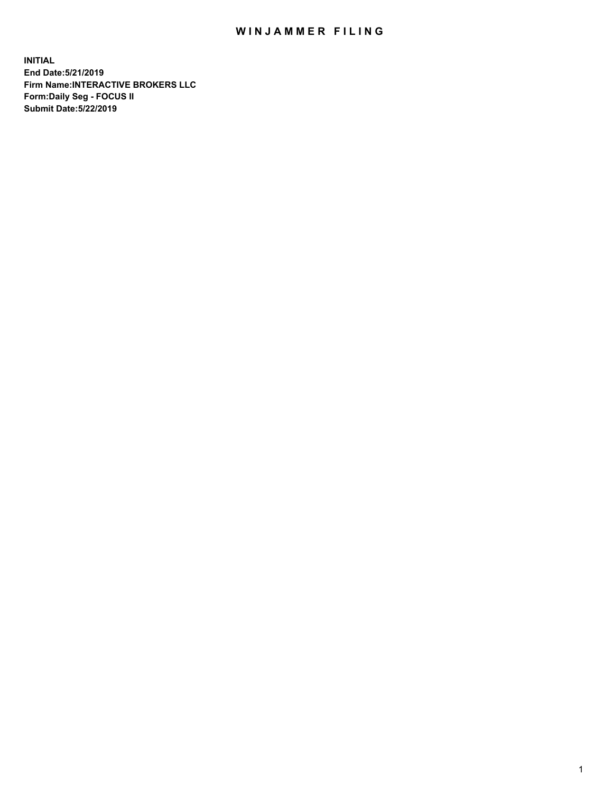## WIN JAMMER FILING

**INITIAL End Date:5/21/2019 Firm Name:INTERACTIVE BROKERS LLC Form:Daily Seg - FOCUS II Submit Date:5/22/2019**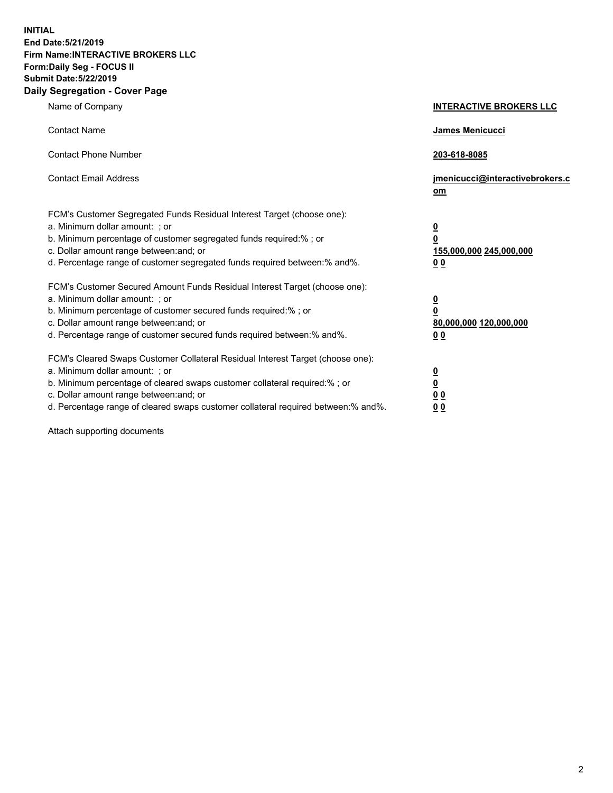**INITIAL End Date:5/21/2019 Firm Name:INTERACTIVE BROKERS LLC Form:Daily Seg - FOCUS II Submit Date:5/22/2019 Daily Segregation - Cover Page**

| Name of Company                                                                                                                                                                                                                                                                                                                | <b>INTERACTIVE BROKERS LLC</b>                                                                  |
|--------------------------------------------------------------------------------------------------------------------------------------------------------------------------------------------------------------------------------------------------------------------------------------------------------------------------------|-------------------------------------------------------------------------------------------------|
| <b>Contact Name</b>                                                                                                                                                                                                                                                                                                            | <b>James Menicucci</b>                                                                          |
| <b>Contact Phone Number</b>                                                                                                                                                                                                                                                                                                    | 203-618-8085                                                                                    |
| <b>Contact Email Address</b>                                                                                                                                                                                                                                                                                                   | jmenicucci@interactivebrokers.c<br>$om$                                                         |
| FCM's Customer Segregated Funds Residual Interest Target (choose one):<br>a. Minimum dollar amount: ; or<br>b. Minimum percentage of customer segregated funds required:% ; or<br>c. Dollar amount range between: and; or<br>d. Percentage range of customer segregated funds required between:% and%.                         | $\overline{\mathbf{0}}$<br>$\overline{\mathbf{0}}$<br>155,000,000 245,000,000<br>0 <sub>0</sub> |
| FCM's Customer Secured Amount Funds Residual Interest Target (choose one):<br>a. Minimum dollar amount: ; or<br>b. Minimum percentage of customer secured funds required:%; or<br>c. Dollar amount range between: and; or<br>d. Percentage range of customer secured funds required between:% and%.                            | $\overline{\mathbf{0}}$<br>$\overline{\mathbf{0}}$<br>80,000,000 120,000,000<br>0 <sub>0</sub>  |
| FCM's Cleared Swaps Customer Collateral Residual Interest Target (choose one):<br>a. Minimum dollar amount: ; or<br>b. Minimum percentage of cleared swaps customer collateral required:% ; or<br>c. Dollar amount range between: and; or<br>d. Percentage range of cleared swaps customer collateral required between:% and%. | $\overline{\mathbf{0}}$<br>$\underline{\mathbf{0}}$<br>0 <sub>0</sub><br>00                     |

Attach supporting documents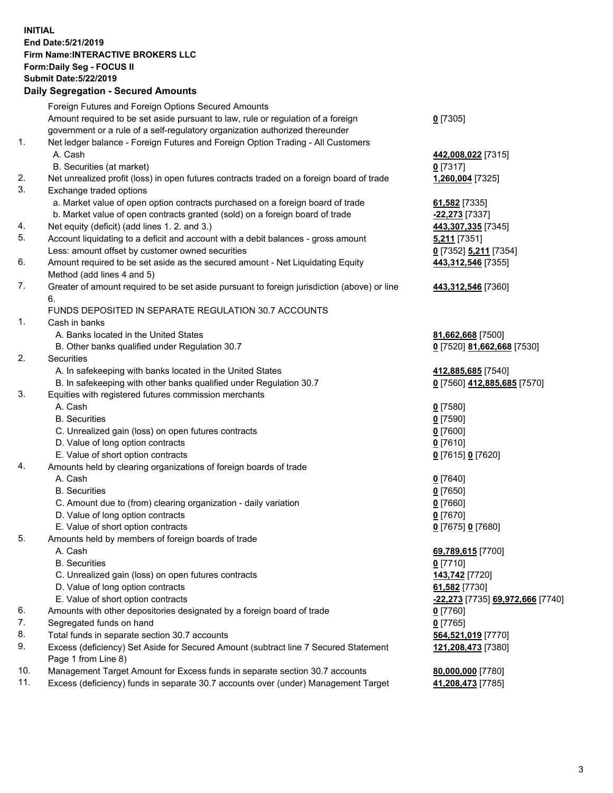## **INITIAL End Date:5/21/2019 Firm Name:INTERACTIVE BROKERS LLC Form:Daily Seg - FOCUS II Submit Date:5/22/2019**

|     | <b>Daily Segregation - Secured Amounts</b>                                                  |                                  |
|-----|---------------------------------------------------------------------------------------------|----------------------------------|
|     | Foreign Futures and Foreign Options Secured Amounts                                         |                                  |
|     | Amount required to be set aside pursuant to law, rule or regulation of a foreign            | $0$ [7305]                       |
|     | government or a rule of a self-regulatory organization authorized thereunder                |                                  |
| 1.  | Net ledger balance - Foreign Futures and Foreign Option Trading - All Customers             |                                  |
|     | A. Cash                                                                                     | 442,008,022 [7315]               |
|     | B. Securities (at market)                                                                   | $0$ [7317]                       |
| 2.  | Net unrealized profit (loss) in open futures contracts traded on a foreign board of trade   | 1,260,004 [7325]                 |
| 3.  | Exchange traded options                                                                     |                                  |
|     | a. Market value of open option contracts purchased on a foreign board of trade              | 61,582 [7335]                    |
|     | b. Market value of open contracts granted (sold) on a foreign board of trade                | -22,273 [7337]                   |
| 4.  | Net equity (deficit) (add lines 1.2. and 3.)                                                | 443,307,335 [7345]               |
| 5.  | Account liquidating to a deficit and account with a debit balances - gross amount           | 5,211 [7351]                     |
|     | Less: amount offset by customer owned securities                                            | 0 [7352] 5,211 [7354]            |
| 6.  | Amount required to be set aside as the secured amount - Net Liquidating Equity              | 443,312,546 [7355]               |
|     | Method (add lines 4 and 5)                                                                  |                                  |
| 7.  | Greater of amount required to be set aside pursuant to foreign jurisdiction (above) or line | 443,312,546 [7360]               |
|     | 6.                                                                                          |                                  |
|     | FUNDS DEPOSITED IN SEPARATE REGULATION 30.7 ACCOUNTS                                        |                                  |
| 1.  | Cash in banks                                                                               |                                  |
|     | A. Banks located in the United States                                                       | 81,662,668 [7500]                |
|     | B. Other banks qualified under Regulation 30.7                                              | 0 [7520] 81,662,668 [7530]       |
| 2.  | Securities                                                                                  |                                  |
|     | A. In safekeeping with banks located in the United States                                   | 412,885,685 [7540]               |
|     | B. In safekeeping with other banks qualified under Regulation 30.7                          | 0 [7560] 412,885,685 [7570]      |
| 3.  | Equities with registered futures commission merchants                                       |                                  |
|     | A. Cash                                                                                     | $0$ [7580]                       |
|     | <b>B.</b> Securities                                                                        | <u>0</u> [7590]                  |
|     | C. Unrealized gain (loss) on open futures contracts                                         | 0 [7600]                         |
|     | D. Value of long option contracts                                                           | $0$ [7610]                       |
|     | E. Value of short option contracts                                                          | 0 [7615] 0 [7620]                |
| 4.  | Amounts held by clearing organizations of foreign boards of trade                           |                                  |
|     | A. Cash                                                                                     | $0$ [7640]                       |
|     | <b>B.</b> Securities                                                                        | $0$ [7650]                       |
|     | C. Amount due to (from) clearing organization - daily variation                             | 0 [7660]                         |
|     | D. Value of long option contracts                                                           | 0 [7670]                         |
|     | E. Value of short option contracts                                                          | 0 [7675] 0 [7680]                |
| 5.  | Amounts held by members of foreign boards of trade                                          |                                  |
|     | A. Cash                                                                                     | 69,789,615 [7700]                |
|     | <b>B.</b> Securities                                                                        | $0$ [7710]                       |
|     | C. Unrealized gain (loss) on open futures contracts                                         | 143,742 <sup>[7720]</sup>        |
|     | D. Value of long option contracts                                                           | 61,582 [7730]                    |
|     | E. Value of short option contracts                                                          | -22,273 [7735] 69,972,666 [7740] |
| 6.  | Amounts with other depositories designated by a foreign board of trade                      | 0 [7760]                         |
| 7.  | Segregated funds on hand                                                                    | $0$ [7765]                       |
| 8.  | Total funds in separate section 30.7 accounts                                               | 564,521,019 [7770]               |
| 9.  | Excess (deficiency) Set Aside for Secured Amount (subtract line 7 Secured Statement         | 121,208,473 [7380]               |
|     | Page 1 from Line 8)                                                                         |                                  |
| 10. | Management Target Amount for Excess funds in separate section 30.7 accounts                 | 80,000,000 [7780]                |
| 11. | Excess (deficiency) funds in separate 30.7 accounts over (under) Management Target          | 41,208,473 [7785]                |
|     |                                                                                             |                                  |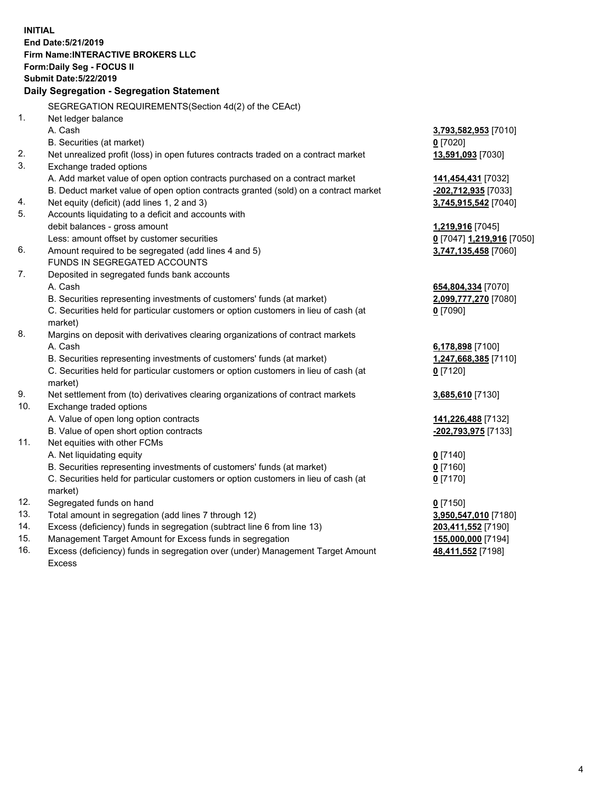**INITIAL End Date:5/21/2019 Firm Name:INTERACTIVE BROKERS LLC Form:Daily Seg - FOCUS II Submit Date:5/22/2019 Daily Segregation - Segregation Statement** SEGREGATION REQUIREMENTS(Section 4d(2) of the CEAct) 1. Net ledger balance A. Cash **3,793,582,953** [7010] B. Securities (at market) **0** [7020] 2. Net unrealized profit (loss) in open futures contracts traded on a contract market **13,591,093** [7030] 3. Exchange traded options A. Add market value of open option contracts purchased on a contract market **141,454,431** [7032] B. Deduct market value of open option contracts granted (sold) on a contract market **-202,712,935** [7033] 4. Net equity (deficit) (add lines 1, 2 and 3) **3,745,915,542** [7040] 5. Accounts liquidating to a deficit and accounts with debit balances - gross amount **1,219,916** [7045] Less: amount offset by customer securities **0** [7047] **1,219,916** [7050] 6. Amount required to be segregated (add lines 4 and 5) **3,747,135,458** [7060] FUNDS IN SEGREGATED ACCOUNTS 7. Deposited in segregated funds bank accounts A. Cash **654,804,334** [7070] B. Securities representing investments of customers' funds (at market) **2,099,777,270** [7080] C. Securities held for particular customers or option customers in lieu of cash (at market) **0** [7090] 8. Margins on deposit with derivatives clearing organizations of contract markets A. Cash **6,178,898** [7100] B. Securities representing investments of customers' funds (at market) **1,247,668,385** [7110] C. Securities held for particular customers or option customers in lieu of cash (at market) **0** [7120] 9. Net settlement from (to) derivatives clearing organizations of contract markets **3,685,610** [7130] 10. Exchange traded options A. Value of open long option contracts **141,226,488** [7132] B. Value of open short option contracts **-202,793,975** [7133] 11. Net equities with other FCMs A. Net liquidating equity **0** [7140] B. Securities representing investments of customers' funds (at market) **0** [7160] C. Securities held for particular customers or option customers in lieu of cash (at market) **0** [7170] 12. Segregated funds on hand **0** [7150] 13. Total amount in segregation (add lines 7 through 12) **3,950,547,010** [7180] 14. Excess (deficiency) funds in segregation (subtract line 6 from line 13) **203,411,552** [7190] 15. Management Target Amount for Excess funds in segregation **155,000,000** [7194]

16. Excess (deficiency) funds in segregation over (under) Management Target Amount Excess

**48,411,552** [7198]